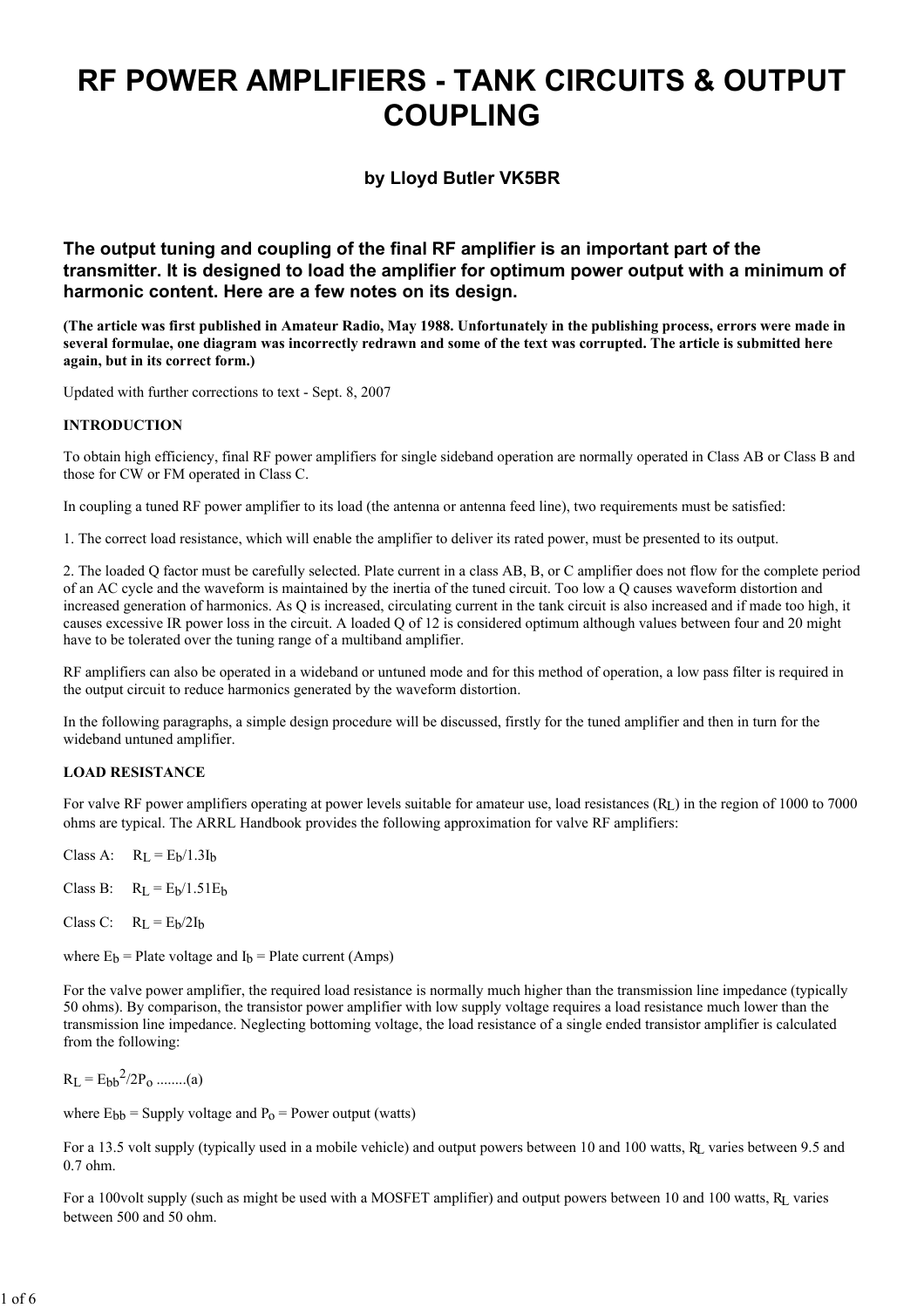# RF POWER AMPLIFIERS - TANK CIRCUITS & OUTPUT COUPLING

by Lloyd Butler VK5BR

The output tuning and coupling of the final RF amplifier is an important part of the transmitter. It is designed to load the amplifier for optimum power output with a minimum of harmonic content. Here are a few notes on its design.

(The article was first published in Amateur Radio, May 1988. Unfortunately in the publishing process, errors were made in several formulae, one diagram was incorrectly redrawn and some of the text was corrupted. The article is submitted here again, but in its correct form.)

Updated with further corrections to text - Sept. 8, 2007

# INTRODUCTION

To obtain high efficiency, final RF power amplifiers for single sideband operation are normally operated in Class AB or Class B and those for CW or FM operated in Class C.

In coupling a tuned RF power amplifier to its load (the antenna or antenna feed line), two requirements must be satisfied:

1. The correct load resistance, which will enable the amplifier to deliver its rated power, must be presented to its output.

2. The loaded Q factor must be carefully selected. Plate current in a class AB, B, or C amplifier does not flow for the complete period of an AC cycle and the waveform is maintained by the inertia of the tuned circuit. Too low a Q causes waveform distortion and increased generation of harmonics. As Q is increased, circulating current in the tank circuit is also increased and if made too high, it causes excessive IR power loss in the circuit. A loaded Q of 12 is considered optimum although values between four and 20 might have to be tolerated over the tuning range of a multiband amplifier.

RF amplifiers can also be operated in a wideband or untuned mode and for this method of operation, a low pass filter is required in the output circuit to reduce harmonics generated by the waveform distortion.

In the following paragraphs, a simple design procedure will be discussed, firstly for the tuned amplifier and then in turn for the wideband untuned amplifier.

### LOAD RESISTANCE

For valve RF power amplifiers operating at power levels suitable for amateur use, load resistances (RL) in the region of 1000 to 7000 ohms are typical. The ARRL Handbook provides the following approximation for valve RF amplifiers:

Class A:  $R_L = E_b/1.3I_b$ 

Class B:  $R_L = E_b/1.51E_b$ 

Class C:  $R_L = E_b/2I_b$ 

where  $E_b$  = Plate voltage and  $I_b$  = Plate current (Amps)

For the valve power amplifier, the required load resistance is normally much higher than the transmission line impedance (typically 50 ohms). By comparison, the transistor power amplifier with low supply voltage requires a load resistance much lower than the transmission line impedance. Neglecting bottoming voltage, the load resistance of a single ended transistor amplifier is calculated from the following:

 $R_L = E_{bb}^2 / 2P_0$  ........(a)

where  $E_{bb}$  = Supply voltage and  $P_0$  = Power output (watts)

For a 13.5 volt supply (typically used in a mobile vehicle) and output powers between 10 and 100 watts, RL varies between 9.5 and 0.7 ohm.

For a 100volt supply (such as might be used with a MOSFET amplifier) and output powers between 10 and 100 watts, RL varies between 500 and 50 ohm.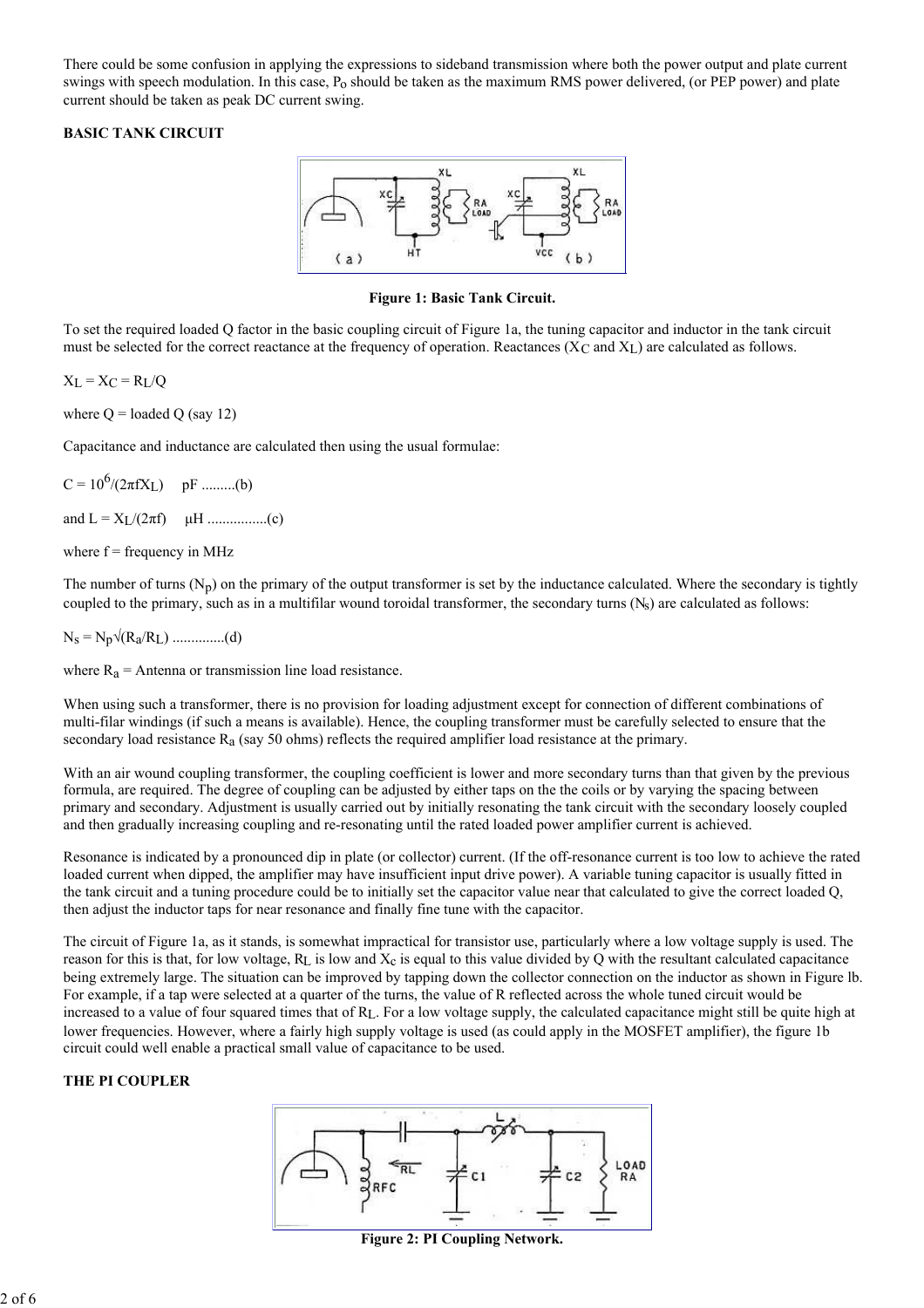There could be some confusion in applying the expressions to sideband transmission where both the power output and plate current swings with speech modulation. In this case,  $P_0$  should be taken as the maximum RMS power delivered, (or PEP power) and plate current should be taken as peak DC current swing.

# BASIC TANK CIRCUIT



Figure 1: Basic Tank Circuit.

To set the required loaded Q factor in the basic coupling circuit of Figure 1a, the tuning capacitor and inductor in the tank circuit must be selected for the correct reactance at the frequency of operation. Reactances ( $X_C$  and  $X_L$ ) are calculated as follows.

 $X_L = X_C = R_L/Q$ 

where  $Q =$  loaded  $Q$  (say 12)

Capacitance and inductance are calculated then using the usual formulae:

 $C = 10^6/(2\pi f X_L)$  pF .........(b)

and L = XL/(2πf) µH ................(c)

where  $f = frequency in MHz$ 

The number of turns  $(N_p)$  on the primary of the output transformer is set by the inductance calculated. Where the secondary is tightly coupled to the primary, such as in a multifilar wound toroidal transformer, the secondary turns  $(N_s)$  are calculated as follows:

 $N_s = N_p \sqrt{(R_a/R_L) \dots (d)}$ 

where  $R_a$  = Antenna or transmission line load resistance.

When using such a transformer, there is no provision for loading adjustment except for connection of different combinations of multi-filar windings (if such a means is available). Hence, the coupling transformer must be carefully selected to ensure that the secondary load resistance  $R_a$  (say 50 ohms) reflects the required amplifier load resistance at the primary.

With an air wound coupling transformer, the coupling coefficient is lower and more secondary turns than that given by the previous formula, are required. The degree of coupling can be adjusted by either taps on the the coils or by varying the spacing between primary and secondary. Adjustment is usually carried out by initially resonating the tank circuit with the secondary loosely coupled and then gradually increasing coupling and re-resonating until the rated loaded power amplifier current is achieved.

Resonance is indicated by a pronounced dip in plate (or collector) current. (If the off-resonance current is too low to achieve the rated loaded current when dipped, the amplifier may have insufficient input drive power). A variable tuning capacitor is usually fitted in the tank circuit and a tuning procedure could be to initially set the capacitor value near that calculated to give the correct loaded Q, then adjust the inductor taps for near resonance and finally fine tune with the capacitor.

The circuit of Figure 1a, as it stands, is somewhat impractical for transistor use, particularly where a low voltage supply is used. The reason for this is that, for low voltage,  $R_L$  is low and  $X_c$  is equal to this value divided by Q with the resultant calculated capacitance being extremely large. The situation can be improved by tapping down the collector connection on the inductor as shown in Figure lb. For example, if a tap were selected at a quarter of the turns, the value of R reflected across the whole tuned circuit would be increased to a value of four squared times that of RL. For a low voltage supply, the calculated capacitance might still be quite high at lower frequencies. However, where a fairly high supply voltage is used (as could apply in the MOSFET amplifier), the figure 1b circuit could well enable a practical small value of capacitance to be used.

# THE PI COUPLER



Figure 2: PI Coupling Network.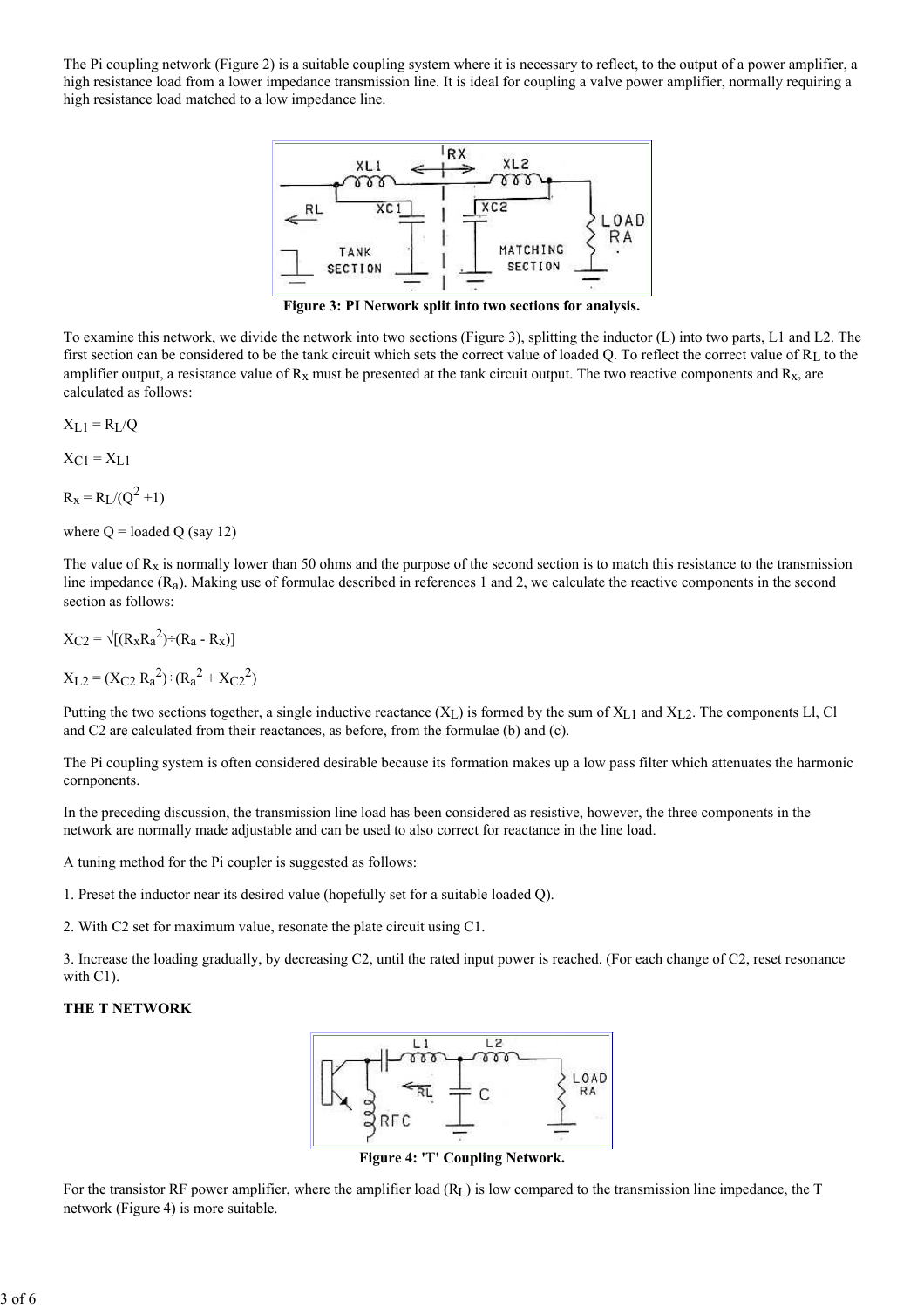The Pi coupling network (Figure 2) is a suitable coupling system where it is necessary to reflect, to the output of a power amplifier, a high resistance load from a lower impedance transmission line. It is ideal for coupling a valve power amplifier, normally requiring a high resistance load matched to a low impedance line.



Figure 3: PI Network split into two sections for analysis.

To examine this network, we divide the network into two sections (Figure 3), splitting the inductor (L) into two parts, L1 and L2. The first section can be considered to be the tank circuit which sets the correct value of loaded Q. To reflect the correct value of RL to the amplifier output, a resistance value of  $R_x$  must be presented at the tank circuit output. The two reactive components and  $R_x$ , are calculated as follows:

$$
X_{L1} = R_L/Q
$$

 $X_{C1} = X_{L1}$ 

 $R_X = R_L/(Q^2 + 1)$ 

where  $Q =$  loaded  $Q$  (say 12)

The value of  $R_x$  is normally lower than 50 ohms and the purpose of the second section is to match this resistance to the transmission line impedance (Ra). Making use of formulae described in references 1 and 2, we calculate the reactive components in the second section as follows:

 $X_{C2} = \sqrt{[(R_x R_a^2) \div (R_a - R_x)]}$ 

 $X_{L2} = (X_{C2} R_a^2) \div (R_a^2 + X_{C2}^2)$ 

Putting the two sections together, a single inductive reactance  $(X_L)$  is formed by the sum of  $X_{L1}$  and  $X_{L2}$ . The components Ll, Cl and C2 are calculated from their reactances, as before, from the formulae (b) and (c).

The Pi coupling system is often considered desirable because its formation makes up a low pass filter which attenuates the harmonic cornponents.

In the preceding discussion, the transmission line load has been considered as resistive, however, the three components in the network are normally made adjustable and can be used to also correct for reactance in the line load.

A tuning method for the Pi coupler is suggested as follows:

1. Preset the inductor near its desired value (hopefully set for a suitable loaded Q).

2. With C2 set for maximum value, resonate the plate circuit using C1.

3. Increase the loading gradually, by decreasing C2, until the rated input power is reached. (For each change of C2, reset resonance with C1).

#### THE T NETWORK



Figure 4: 'T' Coupling Network.

For the transistor RF power amplifier, where the amplifier load (RL) is low compared to the transmission line impedance, the T network (Figure 4) is more suitable.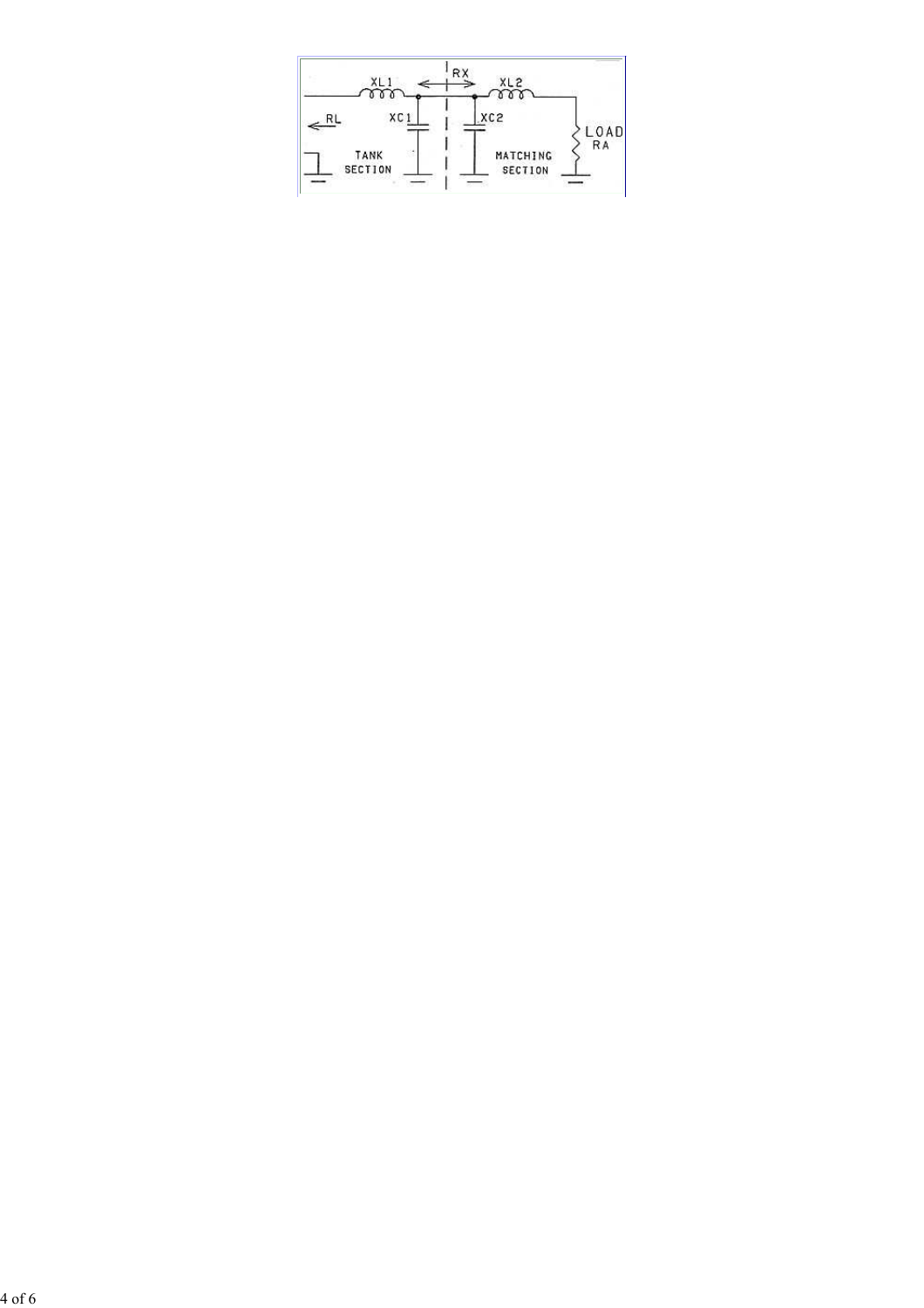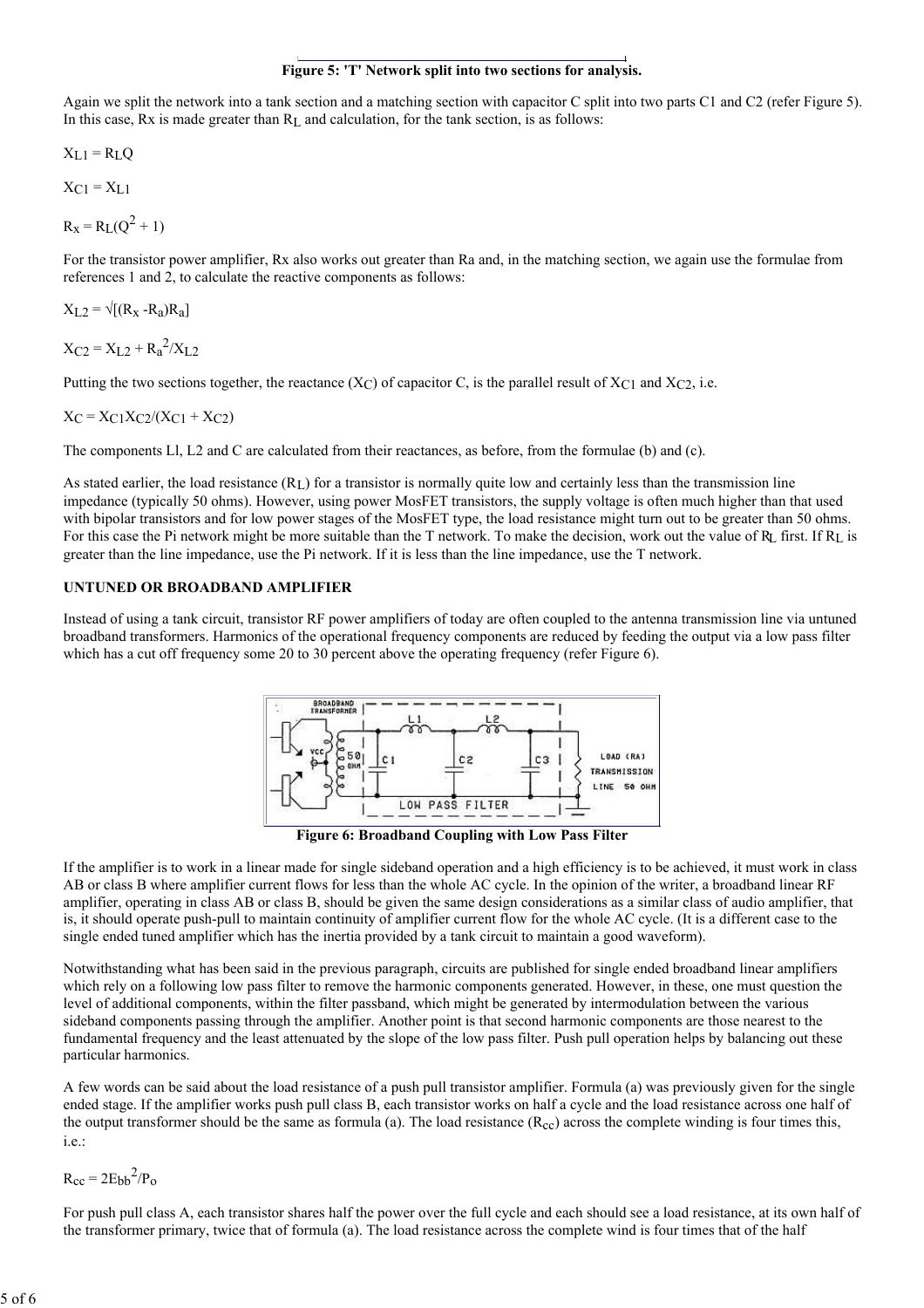# Figure 5: 'T' Network split into two sections for analysis.

Again we split the network into a tank section and a matching section with capacitor C split into two parts C1 and C2 (refer Figure 5). In this case, Rx is made greater than RL and calculation, for the tank section, is as follows:

$$
X_{L1} = R_L Q
$$

 $X<sub>C1</sub> = X<sub>L1</sub>$ 

$$
R_X = R_L(Q^2 + 1)
$$

For the transistor power amplifier, Rx also works out greater than Ra and, in the matching section, we again use the formulae from references 1 and 2, to calculate the reactive components as follows:

 $X_1$ <sub>2</sub> =  $\sqrt{(R_x - R_a)R_a}$ 

 $X_{C2} = X_{L2} + R_a^2/X_{L2}$ 

Putting the two sections together, the reactance  $(X_C)$  of capacitor C, is the parallel result of  $X_C1$  and  $X_C2$ , i.e.

$$
X_C = X_C 1 X_C 2 / (X_C 1 + X_C 2)
$$

The components Ll, L2 and C are calculated from their reactances, as before, from the formulae (b) and (c).

As stated earlier, the load resistance  $(R<sub>L</sub>)$  for a transistor is normally quite low and certainly less than the transmission line impedance (typically 50 ohms). However, using power MosFET transistors, the supply voltage is often much higher than that used with bipolar transistors and for low power stages of the MosFET type, the load resistance might turn out to be greater than 50 ohms. For this case the Pi network might be more suitable than the T network. To make the decision, work out the value of  $R_L$  first. If  $R_L$  is greater than the line impedance, use the Pi network. If it is less than the line impedance, use the T network.

# UNTUNED OR BROADBAND AMPLIFIER

Instead of using a tank circuit, transistor RF power amplifiers of today are often coupled to the antenna transmission line via untuned broadband transformers. Harmonics of the operational frequency components are reduced by feeding the output via a low pass filter which has a cut off frequency some 20 to 30 percent above the operating frequency (refer Figure 6).



Figure 6: Broadband Coupling with Low Pass Filter

If the amplifier is to work in a linear made for single sideband operation and a high efficiency is to be achieved, it must work in class AB or class B where amplifier current flows for less than the whole AC cycle. In the opinion of the writer, a broadband linear RF amplifier, operating in class AB or class B, should be given the same design considerations as a similar class of audio amplifier, that is, it should operate push-pull to maintain continuity of amplifier current flow for the whole AC cycle. (It is a different case to the single ended tuned amplifier which has the inertia provided by a tank circuit to maintain a good waveform).

Notwithstanding what has been said in the previous paragraph, circuits are published for single ended broadband linear amplifiers which rely on a following low pass filter to remove the harmonic components generated. However, in these, one must question the level of additional components, within the filter passband, which might be generated by intermodulation between the various sideband components passing through the amplifier. Another point is that second harmonic components are those nearest to the fundamental frequency and the least attenuated by the slope of the low pass filter. Push pull operation helps by balancing out these particular harmonics.

A few words can be said about the load resistance of a push pull transistor amplifier. Formula (a) was previously given for the single ended stage. If the amplifier works push pull class B, each transistor works on half a cycle and the load resistance across one half of the output transformer should be the same as formula (a). The load resistance  $(R_{cc})$  across the complete winding is four times this, i.e.:

 $R_{cc} = 2E_{bb}^2/P_0$ 

For push pull class A, each transistor shares half the power over the full cycle and each should see a load resistance, at its own half of the transformer primary, twice that of formula (a). The load resistance across the complete wind is four times that of the half